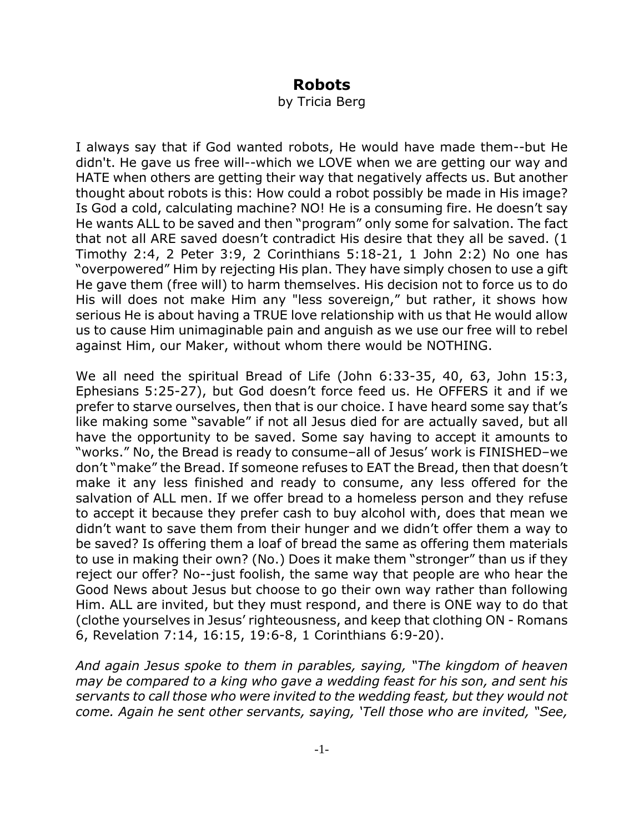## **Robots**

by Tricia Berg

I always say that if God wanted robots, He would have made them--but He didn't. He gave us free will--which we LOVE when we are getting our way and HATE when others are getting their way that negatively affects us. But another thought about robots is this: How could a robot possibly be made in His image? Is God a cold, calculating machine? NO! He is a consuming fire. He doesn't say He wants ALL to be saved and then "program" only some for salvation. The fact that not all ARE saved doesn't contradict His desire that they all be saved. (1 Timothy 2:4, 2 Peter 3:9, 2 Corinthians 5:18-21, 1 John 2:2) No one has "overpowered" Him by rejecting His plan. They have simply chosen to use a gift He gave them (free will) to harm themselves. His decision not to force us to do His will does not make Him any "less sovereign," but rather, it shows how serious He is about having a TRUE love relationship with us that He would allow us to cause Him unimaginable pain and anguish as we use our free will to rebel against Him, our Maker, without whom there would be NOTHING.

We all need the spiritual Bread of Life (John 6:33-35, 40, 63, John 15:3, Ephesians 5:25-27), but God doesn't force feed us. He OFFERS it and if we prefer to starve ourselves, then that is our choice. I have heard some say that's like making some "savable" if not all Jesus died for are actually saved, but all have the opportunity to be saved. Some say having to accept it amounts to "works." No, the Bread is ready to consume–all of Jesus' work is FINISHED–we don't "make" the Bread. If someone refuses to EAT the Bread, then that doesn't make it any less finished and ready to consume, any less offered for the salvation of ALL men. If we offer bread to a homeless person and they refuse to accept it because they prefer cash to buy alcohol with, does that mean we didn't want to save them from their hunger and we didn't offer them a way to be saved? Is offering them a loaf of bread the same as offering them materials to use in making their own? (No.) Does it make them "stronger" than us if they reject our offer? No--just foolish, the same way that people are who hear the Good News about Jesus but choose to go their own way rather than following Him. ALL are invited, but they must respond, and there is ONE way to do that (clothe yourselves in Jesus' righteousness, and keep that clothing ON - Romans 6, Revelation 7:14, 16:15, 19:6-8, 1 Corinthians 6:9-20).

*And again Jesus spoke to them in parables, saying, "The kingdom of heaven may be compared to a king who gave a wedding feast for his son, and sent his servants to call those who were invited to the wedding feast, but they would not come. Again he sent other servants, saying, 'Tell those who are invited, "See,*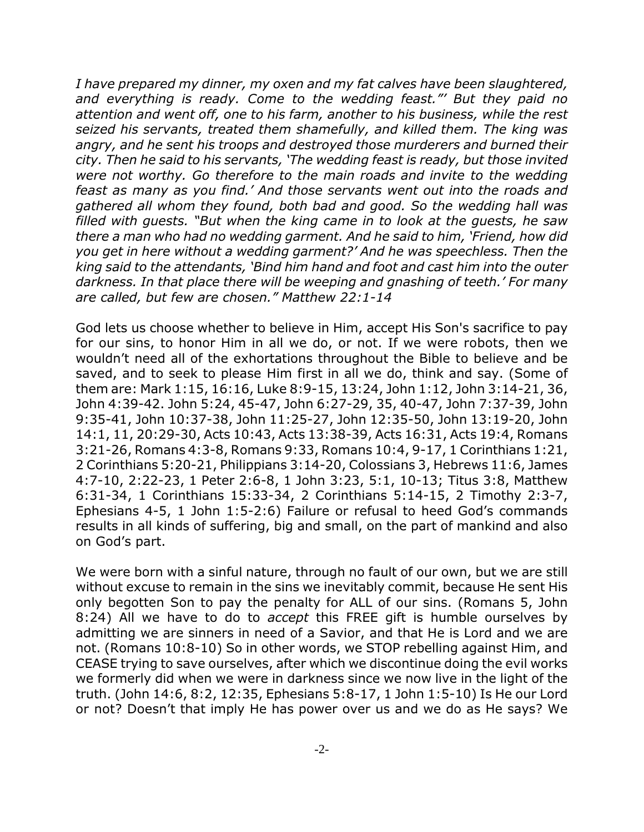*I have prepared my dinner, my oxen and my fat calves have been slaughtered, and everything is ready. Come to the wedding feast."' But they paid no attention and went off, one to his farm, another to his business, while the rest seized his servants, treated them shamefully, and killed them. The king was angry, and he sent his troops and destroyed those murderers and burned their city. Then he said to his servants, 'The wedding feast is ready, but those invited were not worthy. Go therefore to the main roads and invite to the wedding feast as many as you find.' And those servants went out into the roads and gathered all whom they found, both bad and good. So the wedding hall was filled with guests. "But when the king came in to look at the guests, he saw there a man who had no wedding garment. And he said to him, 'Friend, how did you get in here without a wedding garment?' And he was speechless. Then the king said to the attendants, 'Bind him hand and foot and cast him into the outer darkness. In that place there will be weeping and gnashing of teeth.' For many are called, but few are chosen." Matthew 22:1-14*

God lets us choose whether to believe in Him, accept His Son's sacrifice to pay for our sins, to honor Him in all we do, or not. If we were robots, then we wouldn't need all of the exhortations throughout the Bible to believe and be saved, and to seek to please Him first in all we do, think and say. (Some of them are: Mark 1:15, 16:16, Luke 8:9-15, 13:24, John 1:12, John 3:14-21, 36, John 4:39-42. John 5:24, 45-47, John 6:27-29, 35, 40-47, John 7:37-39, John 9:35-41, John 10:37-38, John 11:25-27, John 12:35-50, John 13:19-20, John 14:1, 11, 20:29-30, Acts 10:43, Acts 13:38-39, Acts 16:31, Acts 19:4, Romans 3:21-26, Romans 4:3-8, Romans 9:33, Romans 10:4, 9-17, 1 Corinthians 1:21, 2 Corinthians 5:20-21, Philippians 3:14-20, Colossians 3, Hebrews 11:6, James 4:7-10, 2:22-23, 1 Peter 2:6-8, 1 John 3:23, 5:1, 10-13; Titus 3:8, Matthew 6:31-34, 1 Corinthians 15:33-34, 2 Corinthians 5:14-15, 2 Timothy 2:3-7, Ephesians 4-5, 1 John 1:5-2:6) Failure or refusal to heed God's commands results in all kinds of suffering, big and small, on the part of mankind and also on God's part.

We were born with a sinful nature, through no fault of our own, but we are still without excuse to remain in the sins we inevitably commit, because He sent His only begotten Son to pay the penalty for ALL of our sins. (Romans 5, John 8:24) All we have to do to *accept* this FREE gift is humble ourselves by admitting we are sinners in need of a Savior, and that He is Lord and we are not. (Romans 10:8-10) So in other words, we STOP rebelling against Him, and CEASE trying to save ourselves, after which we discontinue doing the evil works we formerly did when we were in darkness since we now live in the light of the truth. (John 14:6, 8:2, 12:35, Ephesians 5:8-17, 1 John 1:5-10) Is He our Lord or not? Doesn't that imply He has power over us and we do as He says? We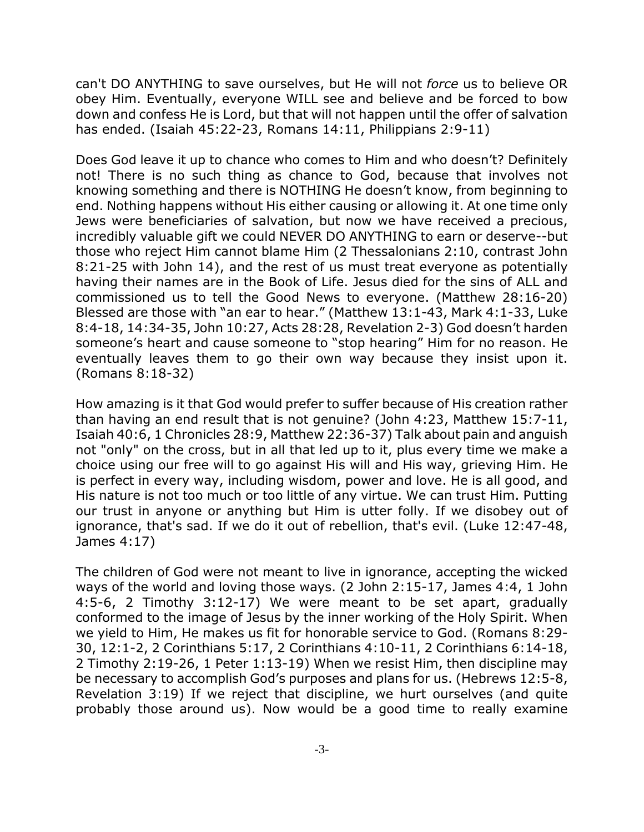can't DO ANYTHING to save ourselves, but He will not *force* us to believe OR obey Him. Eventually, everyone WILL see and believe and be forced to bow down and confess He is Lord, but that will not happen until the offer of salvation has ended. (Isaiah 45:22-23, Romans 14:11, Philippians 2:9-11)

Does God leave it up to chance who comes to Him and who doesn't? Definitely not! There is no such thing as chance to God, because that involves not knowing something and there is NOTHING He doesn't know, from beginning to end. Nothing happens without His either causing or allowing it. At one time only Jews were beneficiaries of salvation, but now we have received a precious, incredibly valuable gift we could NEVER DO ANYTHING to earn or deserve--but those who reject Him cannot blame Him (2 Thessalonians 2:10, contrast John 8:21-25 with John 14), and the rest of us must treat everyone as potentially having their names are in the Book of Life. Jesus died for the sins of ALL and commissioned us to tell the Good News to everyone. (Matthew 28:16-20) Blessed are those with "an ear to hear." (Matthew 13:1-43, Mark 4:1-33, Luke 8:4-18, 14:34-35, John 10:27, Acts 28:28, Revelation 2-3) God doesn't harden someone's heart and cause someone to "stop hearing" Him for no reason. He eventually leaves them to go their own way because they insist upon it. (Romans 8:18-32)

How amazing is it that God would prefer to suffer because of His creation rather than having an end result that is not genuine? (John 4:23, Matthew 15:7-11, Isaiah 40:6, 1 Chronicles 28:9, Matthew 22:36-37) Talk about pain and anguish not "only" on the cross, but in all that led up to it, plus every time we make a choice using our free will to go against His will and His way, grieving Him. He is perfect in every way, including wisdom, power and love. He is all good, and His nature is not too much or too little of any virtue. We can trust Him. Putting our trust in anyone or anything but Him is utter folly. If we disobey out of ignorance, that's sad. If we do it out of rebellion, that's evil. (Luke 12:47-48, James 4:17)

The children of God were not meant to live in ignorance, accepting the wicked ways of the world and loving those ways. (2 John 2:15-17, James 4:4, 1 John 4:5-6, 2 Timothy 3:12-17) We were meant to be set apart, gradually conformed to the image of Jesus by the inner working of the Holy Spirit. When we yield to Him, He makes us fit for honorable service to God. (Romans 8:29- 30, 12:1-2, 2 Corinthians 5:17, 2 Corinthians 4:10-11, 2 Corinthians 6:14-18, 2 Timothy 2:19-26, 1 Peter 1:13-19) When we resist Him, then discipline may be necessary to accomplish God's purposes and plans for us. (Hebrews 12:5-8, Revelation 3:19) If we reject that discipline, we hurt ourselves (and quite probably those around us). Now would be a good time to really examine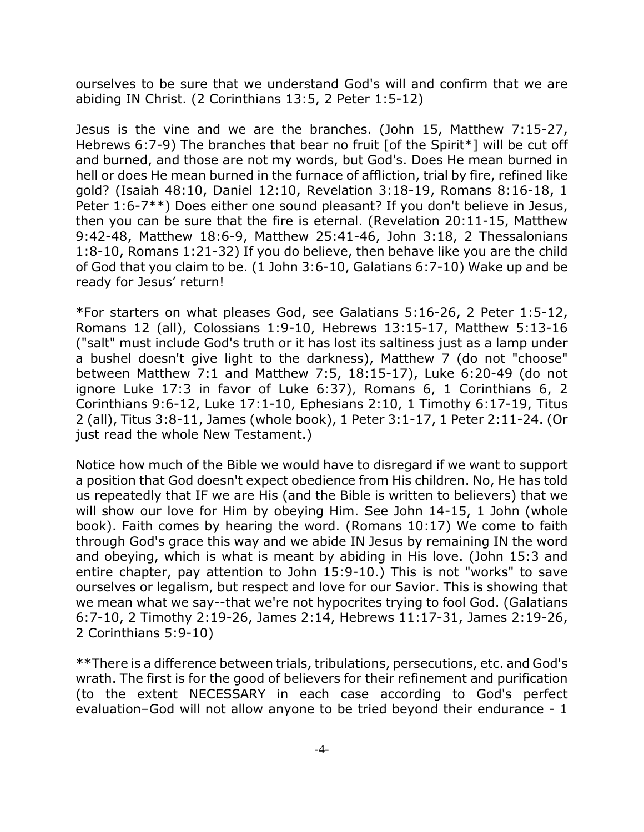ourselves to be sure that we understand God's will and confirm that we are abiding IN Christ. (2 Corinthians 13:5, 2 Peter 1:5-12)

Jesus is the vine and we are the branches. (John 15, Matthew 7:15-27, Hebrews 6:7-9) The branches that bear no fruit [of the Spirit\*] will be cut off and burned, and those are not my words, but God's. Does He mean burned in hell or does He mean burned in the furnace of affliction, trial by fire, refined like gold? (Isaiah 48:10, Daniel 12:10, Revelation 3:18-19, Romans 8:16-18, 1 Peter 1:6-7\*\*) Does either one sound pleasant? If you don't believe in Jesus, then you can be sure that the fire is eternal. (Revelation 20:11-15, Matthew 9:42-48, Matthew 18:6-9, Matthew 25:41-46, John 3:18, 2 Thessalonians 1:8-10, Romans 1:21-32) If you do believe, then behave like you are the child of God that you claim to be. (1 John 3:6-10, Galatians 6:7-10) Wake up and be ready for Jesus' return!

\*For starters on what pleases God, see Galatians 5:16-26, 2 Peter 1:5-12, Romans 12 (all), Colossians 1:9-10, Hebrews 13:15-17, Matthew 5:13-16 ("salt" must include God's truth or it has lost its saltiness just as a lamp under a bushel doesn't give light to the darkness), Matthew 7 (do not "choose" between Matthew 7:1 and Matthew 7:5, 18:15-17), Luke 6:20-49 (do not ignore Luke 17:3 in favor of Luke 6:37), Romans 6, 1 Corinthians 6, 2 Corinthians 9:6-12, Luke 17:1-10, Ephesians 2:10, 1 Timothy 6:17-19, Titus 2 (all), Titus 3:8-11, James (whole book), 1 Peter 3:1-17, 1 Peter 2:11-24. (Or just read the whole New Testament.)

Notice how much of the Bible we would have to disregard if we want to support a position that God doesn't expect obedience from His children. No, He has told us repeatedly that IF we are His (and the Bible is written to believers) that we will show our love for Him by obeying Him. See John 14-15, 1 John (whole book). Faith comes by hearing the word. (Romans 10:17) We come to faith through God's grace this way and we abide IN Jesus by remaining IN the word and obeying, which is what is meant by abiding in His love. (John 15:3 and entire chapter, pay attention to John 15:9-10.) This is not "works" to save ourselves or legalism, but respect and love for our Savior. This is showing that we mean what we say--that we're not hypocrites trying to fool God. (Galatians 6:7-10, 2 Timothy 2:19-26, James 2:14, Hebrews 11:17-31, James 2:19-26, 2 Corinthians 5:9-10)

\*\*There is a difference between trials, tribulations, persecutions, etc. and God's wrath. The first is for the good of believers for their refinement and purification (to the extent NECESSARY in each case according to God's perfect evaluation–God will not allow anyone to be tried beyond their endurance - 1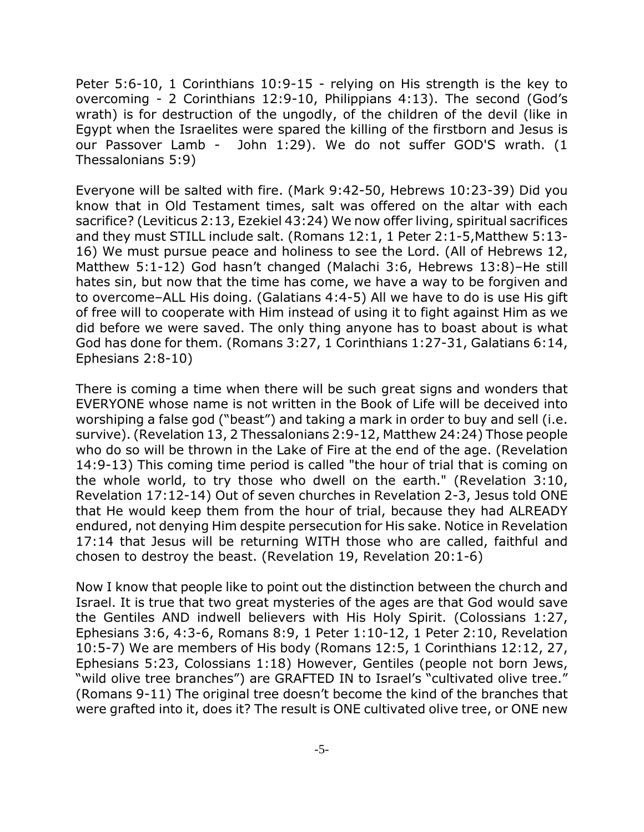Peter 5:6-10, 1 Corinthians 10:9-15 - relying on His strength is the key to overcoming - 2 Corinthians 12:9-10, Philippians 4:13). The second (God's wrath) is for destruction of the ungodly, of the children of the devil (like in Egypt when the Israelites were spared the killing of the firstborn and Jesus is our Passover Lamb - John 1:29). We do not suffer GOD'S wrath. (1 Thessalonians 5:9)

Everyone will be salted with fire. (Mark 9:42-50, Hebrews 10:23-39) Did you know that in Old Testament times, salt was offered on the altar with each sacrifice? (Leviticus 2:13, Ezekiel 43:24) We now offer living, spiritual sacrifices and they must STILL include salt. (Romans 12:1, 1 Peter 2:1-5,Matthew 5:13- 16) We must pursue peace and holiness to see the Lord. (All of Hebrews 12, Matthew 5:1-12) God hasn't changed (Malachi 3:6, Hebrews 13:8)–He still hates sin, but now that the time has come, we have a way to be forgiven and to overcome–ALL His doing. (Galatians 4:4-5) All we have to do is use His gift of free will to cooperate with Him instead of using it to fight against Him as we did before we were saved. The only thing anyone has to boast about is what God has done for them. (Romans 3:27, 1 Corinthians 1:27-31, Galatians 6:14, Ephesians 2:8-10)

There is coming a time when there will be such great signs and wonders that EVERYONE whose name is not written in the Book of Life will be deceived into worshiping a false god ("beast") and taking a mark in order to buy and sell (i.e. survive). (Revelation 13, 2 Thessalonians 2:9-12, Matthew 24:24) Those people who do so will be thrown in the Lake of Fire at the end of the age. (Revelation 14:9-13) This coming time period is called "the hour of trial that is coming on the whole world, to try those who dwell on the earth." (Revelation 3:10, Revelation 17:12-14) Out of seven churches in Revelation 2-3, Jesus told ONE that He would keep them from the hour of trial, because they had ALREADY endured, not denying Him despite persecution for His sake. Notice in Revelation 17:14 that Jesus will be returning WITH those who are called, faithful and chosen to destroy the beast. (Revelation 19, Revelation 20:1-6)

Now I know that people like to point out the distinction between the church and Israel. It is true that two great mysteries of the ages are that God would save the Gentiles AND indwell believers with His Holy Spirit. (Colossians 1:27, Ephesians 3:6, 4:3-6, Romans 8:9, 1 Peter 1:10-12, 1 Peter 2:10, Revelation 10:5-7) We are members of His body (Romans 12:5, 1 Corinthians 12:12, 27, Ephesians 5:23, Colossians 1:18) However, Gentiles (people not born Jews, "wild olive tree branches") are GRAFTED IN to Israel's "cultivated olive tree." (Romans 9-11) The original tree doesn't become the kind of the branches that were grafted into it, does it? The result is ONE cultivated olive tree, or ONE new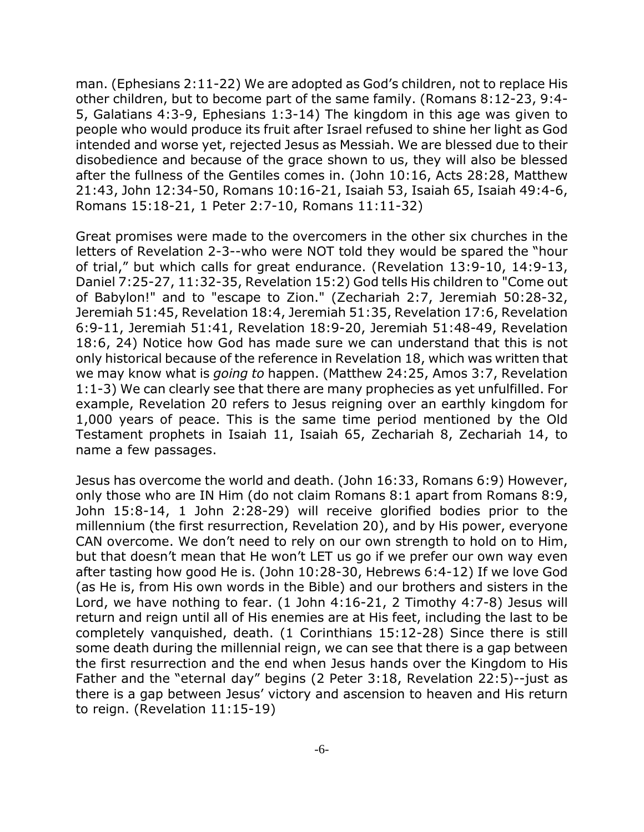man. (Ephesians 2:11-22) We are adopted as God's children, not to replace His other children, but to become part of the same family. (Romans 8:12-23, 9:4- 5, Galatians 4:3-9, Ephesians 1:3-14) The kingdom in this age was given to people who would produce its fruit after Israel refused to shine her light as God intended and worse yet, rejected Jesus as Messiah. We are blessed due to their disobedience and because of the grace shown to us, they will also be blessed after the fullness of the Gentiles comes in. (John 10:16, Acts 28:28, Matthew 21:43, John 12:34-50, Romans 10:16-21, Isaiah 53, Isaiah 65, Isaiah 49:4-6, Romans 15:18-21, 1 Peter 2:7-10, Romans 11:11-32)

Great promises were made to the overcomers in the other six churches in the letters of Revelation 2-3--who were NOT told they would be spared the "hour of trial," but which calls for great endurance. (Revelation 13:9-10, 14:9-13, Daniel 7:25-27, 11:32-35, Revelation 15:2) God tells His children to "Come out of Babylon!" and to "escape to Zion." (Zechariah 2:7, Jeremiah 50:28-32, Jeremiah 51:45, Revelation 18:4, Jeremiah 51:35, Revelation 17:6, Revelation 6:9-11, Jeremiah 51:41, Revelation 18:9-20, Jeremiah 51:48-49, Revelation 18:6, 24) Notice how God has made sure we can understand that this is not only historical because of the reference in Revelation 18, which was written that we may know what is *going to* happen. (Matthew 24:25, Amos 3:7, Revelation 1:1-3) We can clearly see that there are many prophecies as yet unfulfilled. For example, Revelation 20 refers to Jesus reigning over an earthly kingdom for 1,000 years of peace. This is the same time period mentioned by the Old Testament prophets in Isaiah 11, Isaiah 65, Zechariah 8, Zechariah 14, to name a few passages.

Jesus has overcome the world and death. (John 16:33, Romans 6:9) However, only those who are IN Him (do not claim Romans 8:1 apart from Romans 8:9, John 15:8-14, 1 John 2:28-29) will receive glorified bodies prior to the millennium (the first resurrection, Revelation 20), and by His power, everyone CAN overcome. We don't need to rely on our own strength to hold on to Him, but that doesn't mean that He won't LET us go if we prefer our own way even after tasting how good He is. (John 10:28-30, Hebrews 6:4-12) If we love God (as He is, from His own words in the Bible) and our brothers and sisters in the Lord, we have nothing to fear. (1 John 4:16-21, 2 Timothy 4:7-8) Jesus will return and reign until all of His enemies are at His feet, including the last to be completely vanquished, death. (1 Corinthians 15:12-28) Since there is still some death during the millennial reign, we can see that there is a gap between the first resurrection and the end when Jesus hands over the Kingdom to His Father and the "eternal day" begins (2 Peter 3:18, Revelation 22:5)--just as there is a gap between Jesus' victory and ascension to heaven and His return to reign. (Revelation 11:15-19)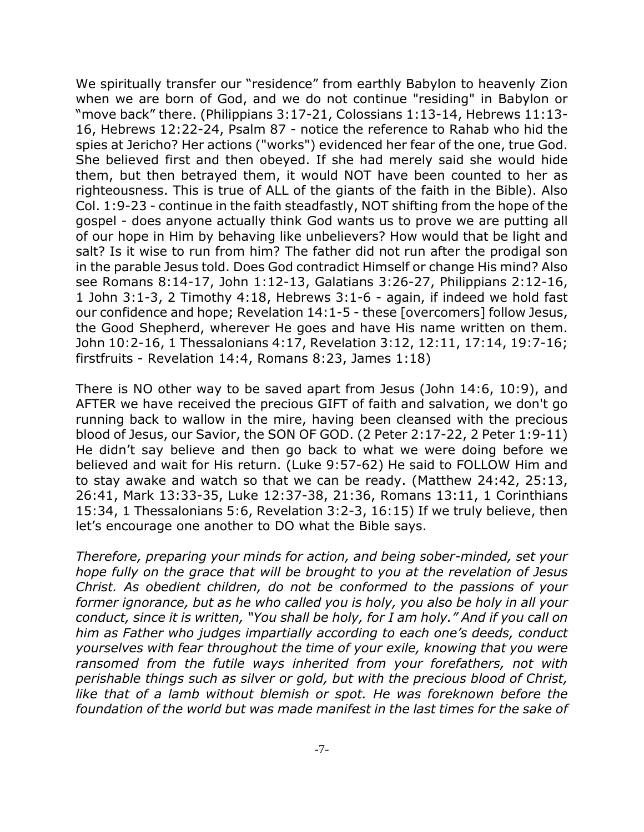We spiritually transfer our "residence" from earthly Babylon to heavenly Zion when we are born of God, and we do not continue "residing" in Babylon or "move back" there. (Philippians 3:17-21, Colossians 1:13-14, Hebrews 11:13- 16, Hebrews 12:22-24, Psalm 87 - notice the reference to Rahab who hid the spies at Jericho? Her actions ("works") evidenced her fear of the one, true God. She believed first and then obeyed. If she had merely said she would hide them, but then betrayed them, it would NOT have been counted to her as righteousness. This is true of ALL of the giants of the faith in the Bible). Also Col. 1:9-23 - continue in the faith steadfastly, NOT shifting from the hope of the gospel - does anyone actually think God wants us to prove we are putting all of our hope in Him by behaving like unbelievers? How would that be light and salt? Is it wise to run from him? The father did not run after the prodigal son in the parable Jesus told. Does God contradict Himself or change His mind? Also see Romans 8:14-17, John 1:12-13, Galatians 3:26-27, Philippians 2:12-16, 1 John 3:1-3, 2 Timothy 4:18, Hebrews 3:1-6 - again, if indeed we hold fast our confidence and hope; Revelation 14:1-5 - these [overcomers] follow Jesus, the Good Shepherd, wherever He goes and have His name written on them. John 10:2-16, 1 Thessalonians 4:17, Revelation 3:12, 12:11, 17:14, 19:7-16; firstfruits - Revelation 14:4, Romans 8:23, James 1:18)

There is NO other way to be saved apart from Jesus (John 14:6, 10:9), and AFTER we have received the precious GIFT of faith and salvation, we don't go running back to wallow in the mire, having been cleansed with the precious blood of Jesus, our Savior, the SON OF GOD. (2 Peter 2:17-22, 2 Peter 1:9-11) He didn't say believe and then go back to what we were doing before we believed and wait for His return. (Luke 9:57-62) He said to FOLLOW Him and to stay awake and watch so that we can be ready. (Matthew 24:42, 25:13, 26:41, Mark 13:33-35, Luke 12:37-38, 21:36, Romans 13:11, 1 Corinthians 15:34, 1 Thessalonians 5:6, Revelation 3:2-3, 16:15) If we truly believe, then let's encourage one another to DO what the Bible says.

*Therefore, preparing your minds for action, and being sober-minded, set your hope fully on the grace that will be brought to you at the revelation of Jesus Christ. As obedient children, do not be conformed to the passions of your former ignorance, but as he who called you is holy, you also be holy in all your conduct, since it is written, "You shall be holy, for I am holy." And if you call on him as Father who judges impartially according to each one's deeds, conduct yourselves with fear throughout the time of your exile, knowing that you were ransomed from the futile ways inherited from your forefathers, not with perishable things such as silver or gold, but with the precious blood of Christ, like that of a lamb without blemish or spot. He was foreknown before the foundation of the world but was made manifest in the last times for the sake of*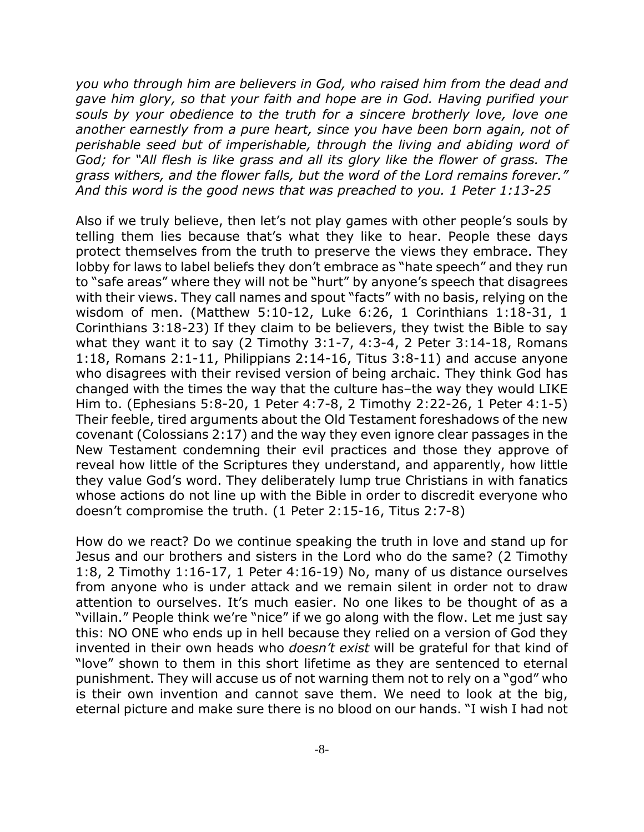*you who through him are believers in God, who raised him from the dead and gave him glory, so that your faith and hope are in God. Having purified your souls by your obedience to the truth for a sincere brotherly love, love one another earnestly from a pure heart, since you have been born again, not of perishable seed but of imperishable, through the living and abiding word of God; for "All flesh is like grass and all its glory like the flower of grass. The grass withers, and the flower falls, but the word of the Lord remains forever." And this word is the good news that was preached to you. 1 Peter 1:13-25*

Also if we truly believe, then let's not play games with other people's souls by telling them lies because that's what they like to hear. People these days protect themselves from the truth to preserve the views they embrace. They lobby for laws to label beliefs they don't embrace as "hate speech" and they run to "safe areas" where they will not be "hurt" by anyone's speech that disagrees with their views. They call names and spout "facts" with no basis, relying on the wisdom of men. (Matthew 5:10-12, Luke 6:26, 1 Corinthians 1:18-31, 1 Corinthians 3:18-23) If they claim to be believers, they twist the Bible to say what they want it to say (2 Timothy 3:1-7, 4:3-4, 2 Peter 3:14-18, Romans 1:18, Romans 2:1-11, Philippians 2:14-16, Titus 3:8-11) and accuse anyone who disagrees with their revised version of being archaic. They think God has changed with the times the way that the culture has–the way they would LIKE Him to. (Ephesians 5:8-20, 1 Peter 4:7-8, 2 Timothy 2:22-26, 1 Peter 4:1-5) Their feeble, tired arguments about the Old Testament foreshadows of the new covenant (Colossians 2:17) and the way they even ignore clear passages in the New Testament condemning their evil practices and those they approve of reveal how little of the Scriptures they understand, and apparently, how little they value God's word. They deliberately lump true Christians in with fanatics whose actions do not line up with the Bible in order to discredit everyone who doesn't compromise the truth. (1 Peter 2:15-16, Titus 2:7-8)

How do we react? Do we continue speaking the truth in love and stand up for Jesus and our brothers and sisters in the Lord who do the same? (2 Timothy 1:8, 2 Timothy 1:16-17, 1 Peter 4:16-19) No, many of us distance ourselves from anyone who is under attack and we remain silent in order not to draw attention to ourselves. It's much easier. No one likes to be thought of as a "villain." People think we're "nice" if we go along with the flow. Let me just say this: NO ONE who ends up in hell because they relied on a version of God they invented in their own heads who *doesn't exist* will be grateful for that kind of "love" shown to them in this short lifetime as they are sentenced to eternal punishment. They will accuse us of not warning them not to rely on a "god" who is their own invention and cannot save them. We need to look at the big, eternal picture and make sure there is no blood on our hands. "I wish I had not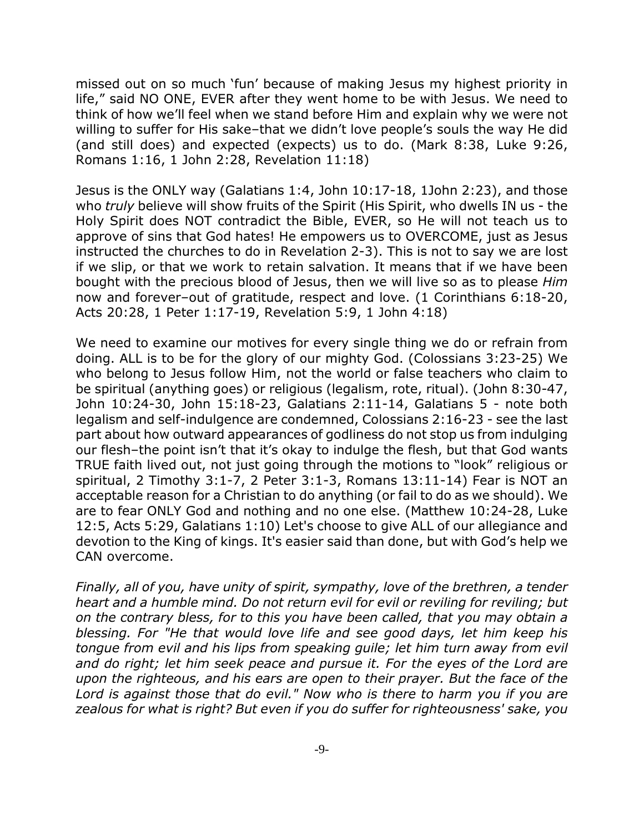missed out on so much 'fun' because of making Jesus my highest priority in life," said NO ONE, EVER after they went home to be with Jesus. We need to think of how we'll feel when we stand before Him and explain why we were not willing to suffer for His sake–that we didn't love people's souls the way He did (and still does) and expected (expects) us to do. (Mark 8:38, Luke 9:26, Romans 1:16, 1 John 2:28, Revelation 11:18)

Jesus is the ONLY way (Galatians 1:4, John 10:17-18, 1John 2:23), and those who *truly* believe will show fruits of the Spirit (His Spirit, who dwells IN us - the Holy Spirit does NOT contradict the Bible, EVER, so He will not teach us to approve of sins that God hates! He empowers us to OVERCOME, just as Jesus instructed the churches to do in Revelation 2-3). This is not to say we are lost if we slip, or that we work to retain salvation. It means that if we have been bought with the precious blood of Jesus, then we will live so as to please *Him* now and forever–out of gratitude, respect and love. (1 Corinthians 6:18-20, Acts 20:28, 1 Peter 1:17-19, Revelation 5:9, 1 John 4:18)

We need to examine our motives for every single thing we do or refrain from doing. ALL is to be for the glory of our mighty God. (Colossians 3:23-25) We who belong to Jesus follow Him, not the world or false teachers who claim to be spiritual (anything goes) or religious (legalism, rote, ritual). (John 8:30-47, John 10:24-30, John 15:18-23, Galatians 2:11-14, Galatians 5 - note both legalism and self-indulgence are condemned, Colossians 2:16-23 - see the last part about how outward appearances of godliness do not stop us from indulging our flesh–the point isn't that it's okay to indulge the flesh, but that God wants TRUE faith lived out, not just going through the motions to "look" religious or spiritual, 2 Timothy 3:1-7, 2 Peter 3:1-3, Romans 13:11-14) Fear is NOT an acceptable reason for a Christian to do anything (or fail to do as we should). We are to fear ONLY God and nothing and no one else. (Matthew 10:24-28, Luke 12:5, Acts 5:29, Galatians 1:10) Let's choose to give ALL of our allegiance and devotion to the King of kings. It's easier said than done, but with God's help we CAN overcome.

*Finally, all of you, have unity of spirit, sympathy, love of the brethren, a tender heart and a humble mind. Do not return evil for evil or reviling for reviling; but on the contrary bless, for to this you have been called, that you may obtain a blessing. For "He that would love life and see good days, let him keep his tongue from evil and his lips from speaking guile; let him turn away from evil and do right; let him seek peace and pursue it. For the eyes of the Lord are upon the righteous, and his ears are open to their prayer. But the face of the Lord is against those that do evil." Now who is there to harm you if you are zealous for what is right? But even if you do suffer for righteousness' sake, you*